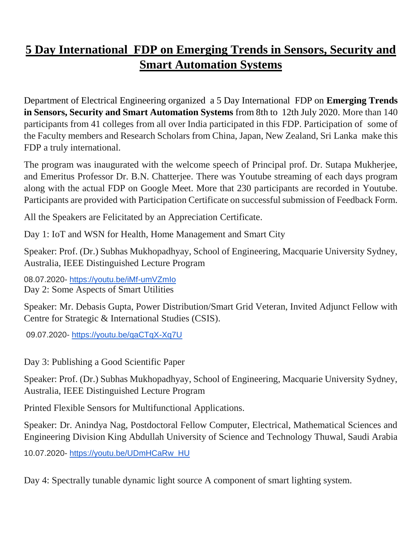## **5 Day International FDP on Emerging Trends in Sensors, Security and Smart Automation Systems**

Department of Electrical Engineering organized a 5 Day International FDP on **Emerging Trends in Sensors, Security and Smart Automation Systems** from 8th to 12th July 2020. More than 140 participants from 41 colleges from all over India participated in this FDP. Participation of some of the Faculty members and Research Scholars from China, Japan, New Zealand, Sri Lanka make this FDP a truly international.

The program was inaugurated with the welcome speech of Principal prof. Dr. Sutapa Mukherjee, and Emeritus Professor Dr. B.N. Chatterjee. There was Youtube streaming of each days program along with the actual FDP on Google Meet. More that 230 participants are recorded in Youtube. Participants are provided with Participation Certificate on successful submission of Feedback Form.

All the Speakers are Felicitated by an Appreciation Certificate.

Day 1: IoT and WSN for Health, Home Management and Smart City

Speaker: Prof. (Dr.) Subhas Mukhopadhyay, School of Engineering, Macquarie University Sydney, Australia, IEEE Distinguished Lecture Program

08.07.2020- <https://youtu.be/iMf-umVZmIo> Day 2: Some Aspects of Smart Utilities

Speaker: Mr. Debasis Gupta, Power Distribution/Smart Grid Veteran, Invited Adjunct Fellow with Centre for Strategic & International Studies (CSIS).

09.07.2020- <https://youtu.be/qaCTqX-Xq7U>

Day 3: Publishing a Good Scientific Paper

Speaker: Prof. (Dr.) Subhas Mukhopadhyay, School of Engineering, Macquarie University Sydney, Australia, IEEE Distinguished Lecture Program

Printed Flexible Sensors for Multifunctional Applications.

Speaker: Dr. Anindya Nag, Postdoctoral Fellow Computer, Electrical, Mathematical Sciences and Engineering Division King Abdullah University of Science and Technology Thuwal, Saudi Arabia

10.07.2020- [https://youtu.be/UDmHCaRw\\_HU](https://youtu.be/UDmHCaRw_HU)

Day 4: Spectrally tunable dynamic light source A component of smart lighting system.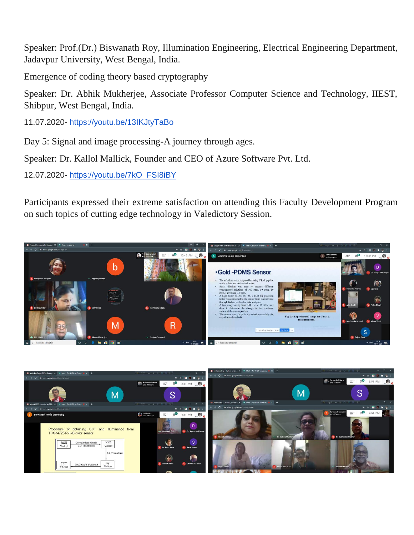Speaker: Prof.(Dr.) Biswanath Roy, Illumination Engineering, Electrical Engineering Department, Jadavpur University, West Bengal, India.

Emergence of coding theory based cryptography

Speaker: Dr. Abhik Mukherjee, Associate Professor Computer Science and Technology, IIEST, Shibpur, West Bengal, India.

11.07.2020- <https://youtu.be/13IKJtyTaBo>

Day 5: Signal and image processing-A journey through ages.

Speaker: Dr. Kallol Mallick, Founder and CEO of Azure Software Pvt. Ltd.

12.07.2020- [https://youtu.be/7kO\\_FSI8iBY](https://youtu.be/7kO_FSI8iBY)

Participants expressed their extreme satisfaction on attending this Faculty Development Program on such topics of cutting edge technology in Valedictory Session.